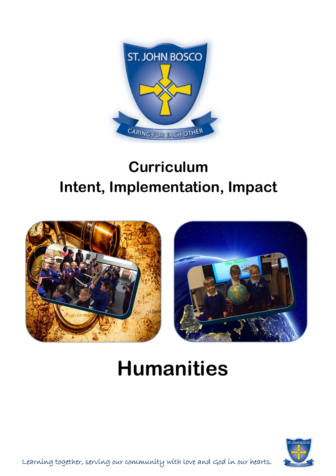

## **Curriculum Intent, Implementation, Impact**





## **Humanities**



Learning together, serving our community with love and God in our hearts.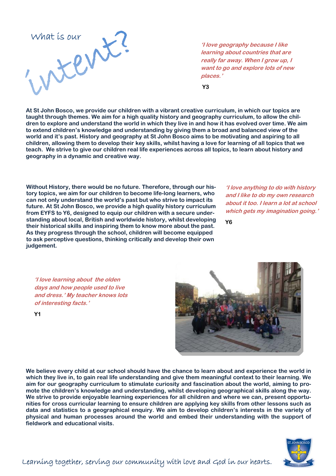

**'I love geography because I like learning about countries that are really far away. When I grow up, I want to go and explore lots of new places.'**

 **Y3** 

**At St John Bosco, we provide our children with a vibrant creative curriculum, in which our topics are taught through themes. We aim for a high quality history and geography curriculum, to allow the children to explore and understand the world in which they live in and how it has evolved over time. We aim to extend children's knowledge and understanding by giving them a broad and balanced view of the world and it's past. History and geography at St John Bosco aims to be motivating and aspiring to all children, allowing them to develop their key skills, whilst having a love for learning of all topics that we teach. We strive to give our children real life experiences across all topics, to learn about history and geography in a dynamic and creative way.** 

**Without History, there would be no future. Therefore, through our history topics, we aim for our children to become life-long learners, who can not only understand the world's past but who strive to impact its future. At St John Bosco, we provide a high quality history curriculum from EYFS to Y6, designed to equip our children with a secure understanding about local, British and worldwide history, whilst developing their historical skills and inspiring them to know more about the past. As they progress through the school, children will become equipped to ask perceptive questions, thinking critically and develop their own judgement.** 

**'I love anything to do with history and I like to do my own research about it too. I learn a lot at school which gets my imagination going.'**

**Y6** 

**'I love learning about the olden days and how people used to live and dress.' My teacher knows lots of interesting facts.'**



**We believe every child at our school should have the chance to learn about and experience the world in which they live in, to gain real life understanding and give them meaningful context to their learning. We aim for our geography curriculum to stimulate curiosity and fascination about the world, aiming to promote the children's knowledge and understanding, whilst developing geographical skills along the way. We strive to provide enjoyable learning experiences for all children and where we can, present opportunities for cross curricular learning to ensure children are applying key skills from other lessons such as data and statistics to a geographical enquiry. We aim to develop children's interests in the variety of physical and human processes around the world and embed their understanding with the support of fieldwork and educational visits.** 



**Y1**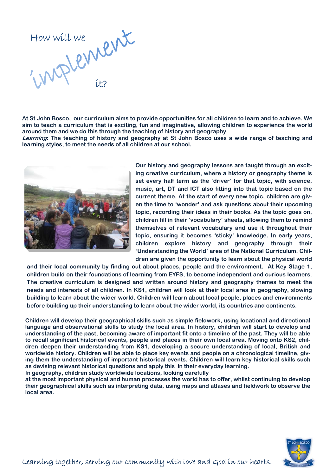

**At St John Bosco, our curriculum aims to provide opportunities for all children to learn and to achieve. We aim to teach a curriculum that is exciting, fun and imaginative, allowing children to experience the world around them and we do this through the teaching of history and geography.** 

**Learning: The teaching of history and geography at St John Bosco uses a wide range of teaching and learning styles, to meet the needs of all children at our school.** 



**Our history and geography lessons are taught through an exciting creative curriculum, where a history or geography theme is set every half term as the 'driver' for that topic, with science, music, art, DT and ICT also fitting into that topic based on the current theme. At the start of every new topic, children are given the time to 'wonder' and ask questions about their upcoming topic, recording their ideas in their books. As the topic goes on, children fill in their 'vocabulary' sheets, allowing them to remind themselves of relevant vocabulary and use it throughout their topic, ensuring it becomes 'sticky' knowledge. In early years, children explore history and geography through their 'Understanding the World' area of the National Curriculum. Children are given the opportunity to learn about the physical world** 

**and their local community by finding out about places, people and the environment. At Key Stage 1, children build on their foundations of learning from EYFS, to become independent and curious learners. The creative curriculum is designed and written around history and geography themes to meet the needs and interests of all children. In KS1, children will look at their local area in geography, slowing building to learn about the wider world. Children will learn about local people, places and environments before building up their understanding to learn about the wider world, its countries and continents.** 

**Children will develop their geographical skills such as simple fieldwork, using locational and directional language and observational skills to study the local area. In history, children will start to develop and understanding of the past, becoming aware of important fit onto a timeline of the past. They will be able to recall significant historical events, people and places in their own local area. Moving onto KS2, children deepen their understanding from KS1, developing a secure understanding of local, British and worldwide history. Children will be able to place key events and people on a chronological timeline, giving them the understanding of important historical events. Children will learn key historical skills such as devising relevant historical questions and apply this in their everyday learning. In geography, children study worldwide locations, looking carefully** 

**at the most important physical and human processes the world has to offer, whilst continuing to develop their geographical skills such as interpreting data, using maps and atlases and fieldwork to observe the local area.** 

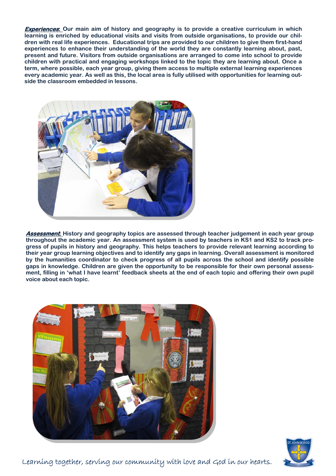**Experiences: Our main aim of history and geography is to provide a creative curriculum in which learning is enriched by educational visits and visits from outside organisations, to provide our children with real life experiences. Educational trips are provided to our children to give them first-hand experiences to enhance their understanding of the world they are constantly learning about, past, present and future. Visitors from outside organisations are arranged to come into school to provide children with practical and engaging workshops linked to the topic they are learning about. Once a term, where possible, each year group, giving them access to multiple external learning experiences every academic year. As well as this, the local area is fully utilised with opportunities for learning outside the classroom embedded in lessons.** 



**Assessment: History and geography topics are assessed through teacher judgement in each year group throughout the academic year. An assessment system is used by teachers in KS1 and KS2 to track progress of pupils in history and geography. This helps teachers to provide relevant learning according to their year group learning objectives and to identify any gaps in learning. Overall assessment is monitored by the humanities coordinator to check progress of all pupils across the school and identify possible gaps in knowledge. Children are given the opportunity to be responsible for their own personal assessment, filling in 'what I have learnt' feedback sheets at the end of each topic and offering their own pupil voice about each topic.** 





Learning together, serving our community with love and God in our hearts.